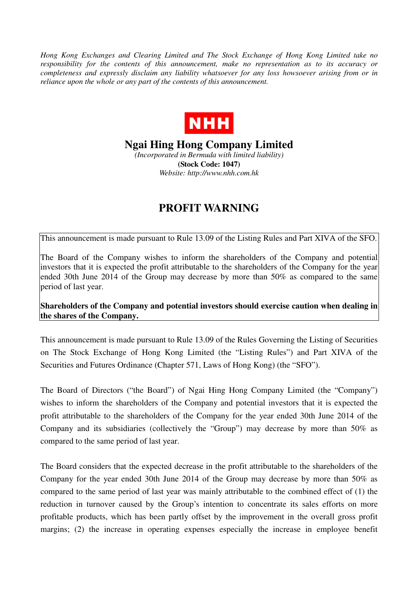*Hong Kong Exchanges and Clearing Limited and The Stock Exchange of Hong Kong Limited take no responsibility for the contents of this announcement, make no representation as to its accuracy or completeness and expressly disclaim any liability whatsoever for any loss howsoever arising from or in reliance upon the whole or any part of the contents of this announcement.* 



**Ngai Hing Hong Company Limited** 

*(Incorporated in Bermuda with limited liability)*  **(Stock Code: 1047)**  *Website: http://www.nhh.com.hk* 

## **PROFIT WARNING**

This announcement is made pursuant to Rule 13.09 of the Listing Rules and Part XIVA of the SFO.

The Board of the Company wishes to inform the shareholders of the Company and potential investors that it is expected the profit attributable to the shareholders of the Company for the year ended 30th June 2014 of the Group may decrease by more than 50% as compared to the same period of last year.

**Shareholders of the Company and potential investors should exercise caution when dealing in the shares of the Company.** 

This announcement is made pursuant to Rule 13.09 of the Rules Governing the Listing of Securities on The Stock Exchange of Hong Kong Limited (the "Listing Rules") and Part XIVA of the Securities and Futures Ordinance (Chapter 571, Laws of Hong Kong) (the "SFO").

The Board of Directors ("the Board") of Ngai Hing Hong Company Limited (the "Company") wishes to inform the shareholders of the Company and potential investors that it is expected the profit attributable to the shareholders of the Company for the year ended 30th June 2014 of the Company and its subsidiaries (collectively the "Group") may decrease by more than 50% as compared to the same period of last year.

The Board considers that the expected decrease in the profit attributable to the shareholders of the Company for the year ended 30th June 2014 of the Group may decrease by more than 50% as compared to the same period of last year was mainly attributable to the combined effect of (1) the reduction in turnover caused by the Group's intention to concentrate its sales efforts on more profitable products, which has been partly offset by the improvement in the overall gross profit margins; (2) the increase in operating expenses especially the increase in employee benefit